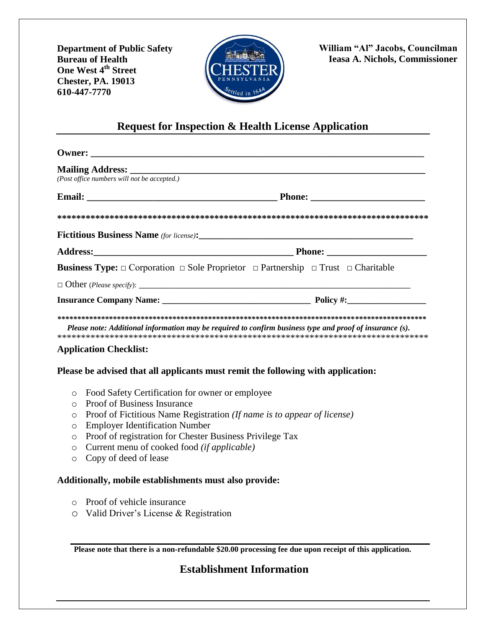**Department of Public Safety Bureau of Health One West 4th Street Chester, PA. 19013 610-447-7770**



**William "Al" Jacobs, Councilman Ieasa A. Nichols, Commissioner**

## **Request for Inspection & Health License Application**

| (Post office numbers will not be accepted.)                                      |                                                                                                                   |
|----------------------------------------------------------------------------------|-------------------------------------------------------------------------------------------------------------------|
|                                                                                  |                                                                                                                   |
|                                                                                  |                                                                                                                   |
|                                                                                  |                                                                                                                   |
|                                                                                  |                                                                                                                   |
|                                                                                  | <b>Business Type:</b> $\Box$ Corporation $\Box$ Sole Proprietor $\Box$ Partnership $\Box$ Trust $\Box$ Charitable |
|                                                                                  |                                                                                                                   |
|                                                                                  |                                                                                                                   |
|                                                                                  |                                                                                                                   |
|                                                                                  | Please note: Additional information may be required to confirm business type and proof of insurance (s).          |
| <b>Application Checklist:</b>                                                    |                                                                                                                   |
| Please be advised that all applicants must remit the following with application: |                                                                                                                   |

- o Food Safety Certification for owner or employee
- o Proof of Business Insurance
- o Proof of Fictitious Name Registration *(If name is to appear of license)*
- o Employer Identification Number
- o Proof of registration for Chester Business Privilege Tax
- o Current menu of cooked food *(if applicable)*
- o Copy of deed of lease

## **Additionally, mobile establishments must also provide:**

- o Proof of vehicle insurance
- o Valid Driver's License & Registration

**Please note that there is a non-refundable \$20.00 processing fee due upon receipt of this application.**

## **Establishment Information**